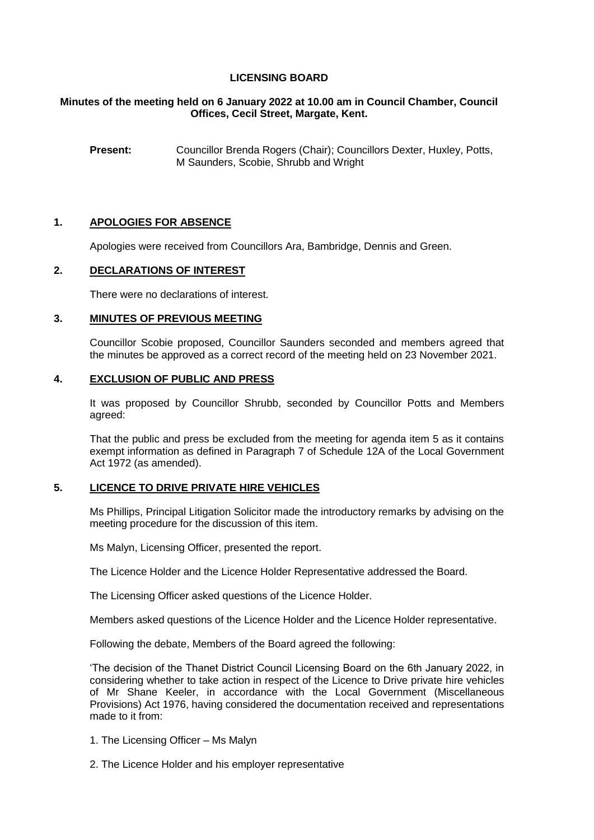# **LICENSING BOARD**

## **Minutes of the meeting held on 6 January 2022 at 10.00 am in Council Chamber, Council Offices, Cecil Street, Margate, Kent.**

**Present:** Councillor Brenda Rogers (Chair); Councillors Dexter, Huxley, Potts, M Saunders, Scobie, Shrubb and Wright

#### **1. APOLOGIES FOR ABSENCE**

Apologies were received from Councillors Ara, Bambridge, Dennis and Green.

### **2. DECLARATIONS OF INTEREST**

There were no declarations of interest.

### **3. MINUTES OF PREVIOUS MEETING**

Councillor Scobie proposed, Councillor Saunders seconded and members agreed that the minutes be approved as a correct record of the meeting held on 23 November 2021.

#### **4. EXCLUSION OF PUBLIC AND PRESS**

It was proposed by Councillor Shrubb, seconded by Councillor Potts and Members agreed:

That the public and press be excluded from the meeting for agenda item 5 as it contains exempt information as defined in Paragraph 7 of Schedule 12A of the Local Government Act 1972 (as amended).

#### **5. LICENCE TO DRIVE PRIVATE HIRE VEHICLES**

Ms Phillips, Principal Litigation Solicitor made the introductory remarks by advising on the meeting procedure for the discussion of this item.

Ms Malyn, Licensing Officer, presented the report.

The Licence Holder and the Licence Holder Representative addressed the Board.

The Licensing Officer asked questions of the Licence Holder.

Members asked questions of the Licence Holder and the Licence Holder representative.

Following the debate, Members of the Board agreed the following:

'The decision of the Thanet District Council Licensing Board on the 6th January 2022, in considering whether to take action in respect of the Licence to Drive private hire vehicles of Mr Shane Keeler, in accordance with the Local Government (Miscellaneous Provisions) Act 1976, having considered the documentation received and representations made to it from:

- 1. The Licensing Officer Ms Malyn
- 2. The Licence Holder and his employer representative